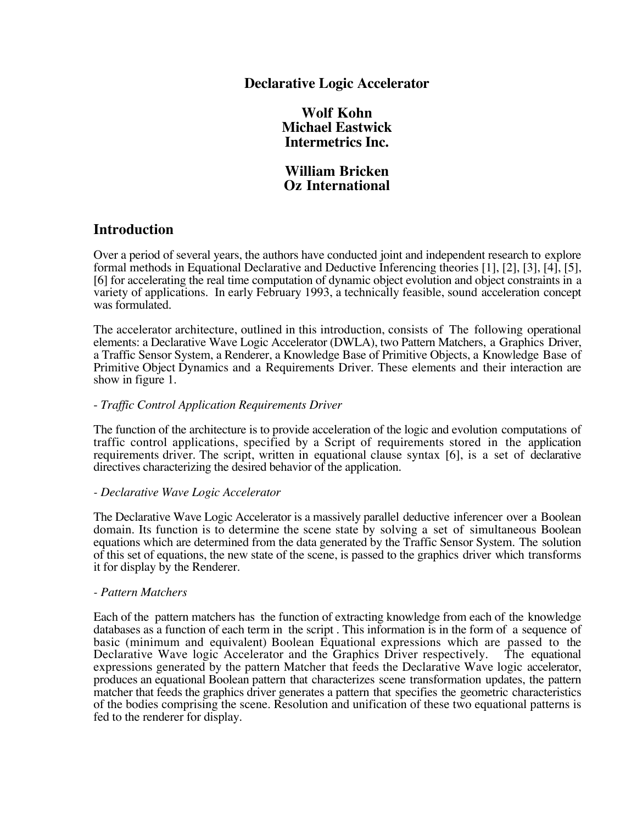# **Declarative Logic Accelerator**

**Wolf Kohn Michael Eastwick Intermetrics Inc.**

**William Bricken Oz International**

# **Introduction**

Over a period of several years, the authors have conducted joint and independent research to explore formal methods in Equational Declarative and Deductive Inferencing theories [1], [2], [3], [4], [5], [6] for accelerating the real time computation of dynamic object evolution and object constraints in a variety of applications. In early February 1993, a technically feasible, sound acceleration concept was formulated.

The accelerator architecture, outlined in this introduction, consists of The following operational elements: a Declarative Wave Logic Accelerator (DWLA), two Pattern Matchers, a Graphics Driver, a Traffic Sensor System, a Renderer, a Knowledge Base of Primitive Objects, a Knowledge Base of Primitive Object Dynamics and a Requirements Driver. These elements and their interaction are show in figure 1.

### - *Traffic Control Application Requirements Driver*

The function of the architecture is to provide acceleration of the logic and evolution computations of traffic control applications, specified by a Script of requirements stored in the application requirements driver. The script, written in equational clause syntax [6], is a set of declarative directives characterizing the desired behavior of the application.

### *- Declarative Wave Logic Accelerator*

The Declarative Wave Logic Accelerator is a massively parallel deductive inferencer over a Boolean domain. Its function is to determine the scene state by solving a set of simultaneous Boolean equations which are determined from the data generated by the Traffic Sensor System. The solution of this set of equations, the new state of the scene, is passed to the graphics driver which transforms it for display by the Renderer.

### *- Pattern Matchers*

Each of the pattern matchers has the function of extracting knowledge from each of the knowledge databases as a function of each term in the script . This information is in the form of a sequence of basic (minimum and equivalent) Boolean Equational expressions which are passed to the Declarative Wave logic Accelerator and the Graphics Driver respectively. The equational expressions generated by the pattern Matcher that feeds the Declarative Wave logic accelerator, produces an equational Boolean pattern that characterizes scene transformation updates, the pattern matcher that feeds the graphics driver generates a pattern that specifies the geometric characteristics of the bodies comprising the scene. Resolution and unification of these two equational patterns is fed to the renderer for display.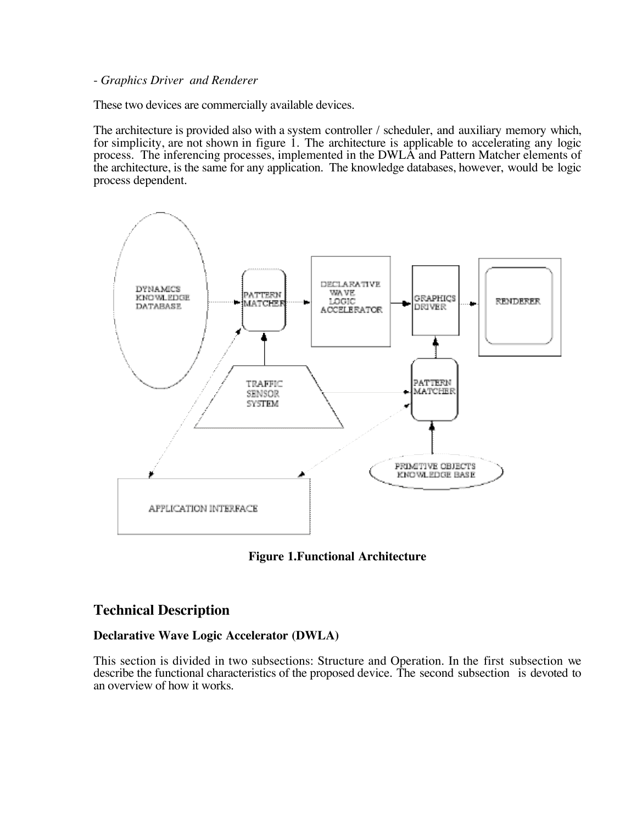### - *Graphics Driver and Renderer*

These two devices are commercially available devices.

The architecture is provided also with a system controller / scheduler, and auxiliary memory which, for simplicity, are not shown in figure 1. The architecture is applicable to accelerating any logic process. The inferencing processes, implemented in the DWLA and Pattern Matcher elements of the architecture, is the same for any application. The knowledge databases, however, would be logic process dependent.



**Figure 1.Functional Architecture**

# **Technical Description**

## **Declarative Wave Logic Accelerator (DWLA)**

This section is divided in two subsections: Structure and Operation. In the first subsection we describe the functional characteristics of the proposed device. The second subsection is devoted to an overview of how it works.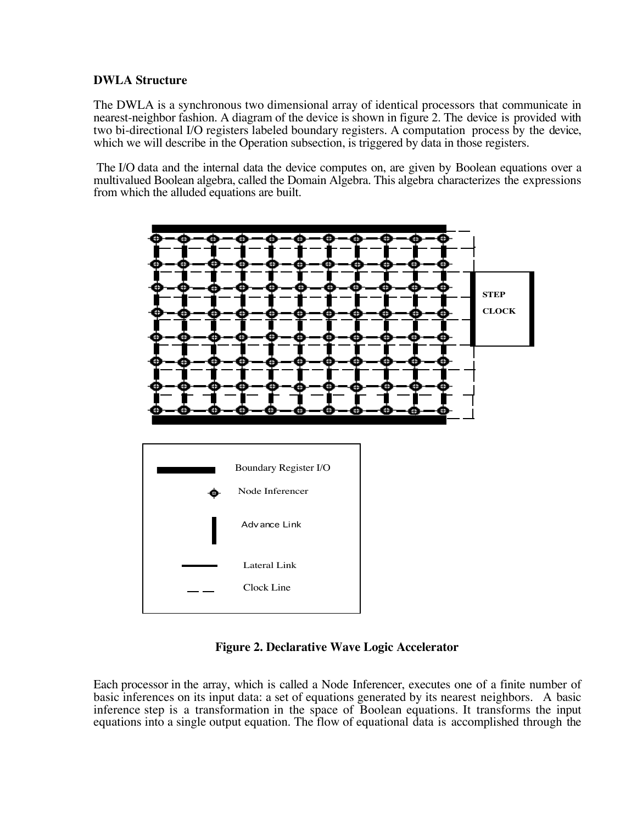## **DWLA Structure**

The DWLA is a synchronous two dimensional array of identical processors that communicate in nearest-neighbor fashion. A diagram of the device is shown in figure 2. The device is provided with two bi-directional I/O registers labeled boundary registers. A computation process by the device, which we will describe in the Operation subsection, is triggered by data in those registers.

 The I/O data and the internal data the device computes on, are given by Boolean equations over a multivalued Boolean algebra, called the Domain Algebra. This algebra characterizes the expressions from which the alluded equations are built.



**Figure 2. Declarative Wave Logic Accelerator**

Each processor in the array, which is called a Node Inferencer, executes one of a finite number of basic inferences on its input data: a set of equations generated by its nearest neighbors. A basic inference step is a transformation in the space of Boolean equations. It transforms the input equations into a single output equation. The flow of equational data is accomplished through the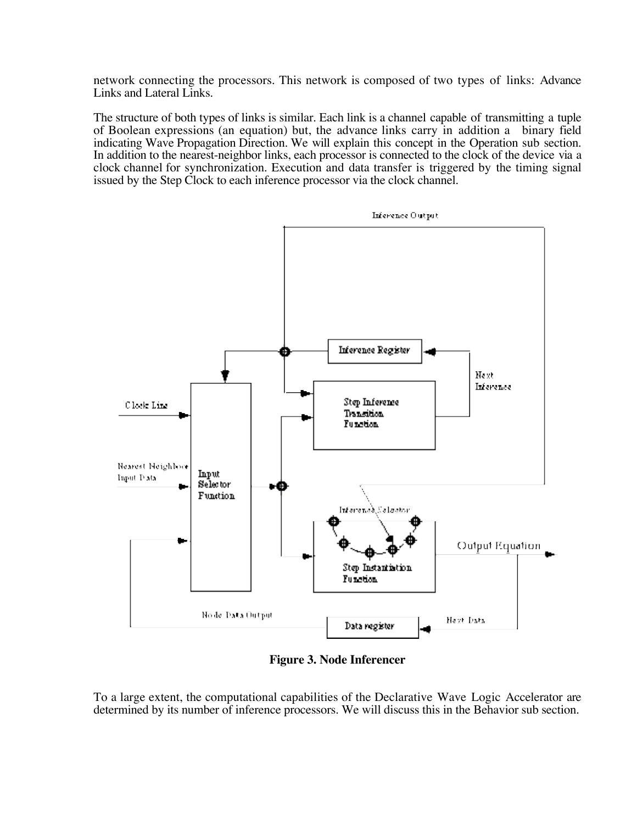network connecting the processors. This network is composed of two types of links: Advance Links and Lateral Links.

The structure of both types of links is similar. Each link is a channel capable of transmitting a tuple of Boolean expressions (an equation) but, the advance links carry in addition a binary field indicating Wave Propagation Direction. We will explain this concept in the Operation sub section. In addition to the nearest-neighbor links, each processor is connected to the clock of the device via a clock channel for synchronization. Execution and data transfer is triggered by the timing signal issued by the Step Clock to each inference processor via the clock channel.



**Figure 3. Node Inferencer**

To a large extent, the computational capabilities of the Declarative Wave Logic Accelerator are determined by its number of inference processors. We will discuss this in the Behavior sub section.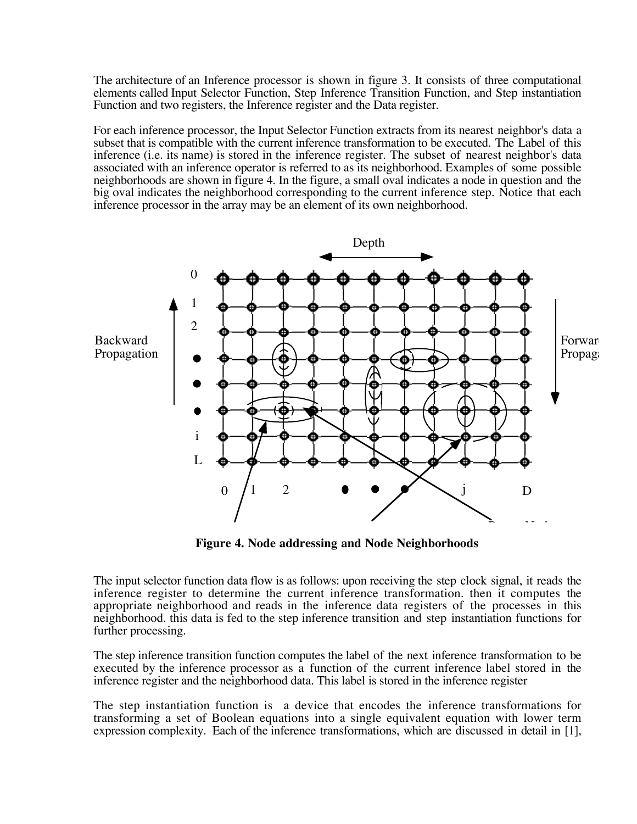The architecture of an Inference processor is shown in figure 3. It consists of three computational elements called Input Selector Function, Step Inference Transition Function, and Step instantiation Function and two registers, the Inference register and the Data register.

For each inference processor, the Input Selector Function extracts from its nearest neighbor's data a subset that is compatible with the current inference transformation to be executed. The Label of this inference (i.e. its name) is stored in the inference register. The subset of nearest neighbor's data associated with an inference operator is referred to as its neighborhood. Examples of some possible neighborhoods are shown in figure 4. In the figure, a small oval indicates a node in question and the big oval indicates the neighborhood corresponding to the current inference step. Notice that each inference processor in the array may be an element of its own neighborhood.



**Figure 4. Node addressing and Node Neighborhoods**

The input selector function data flow is as follows: upon receiving the step clock signal, it reads the inference register to determine the current inference transformation. then it computes the appropriate neighborhood and reads in the inference data registers of the processes in this neighborhood. this data is fed to the step inference transition and step instantiation functions for further processing.

The step inference transition function computes the label of the next inference transformation to be executed by the inference processor as a function of the current inference label stored in the inference register and the neighborhood data. This label is stored in the inference register

The step instantiation function is a device that encodes the inference transformations for transforming a set of Boolean equations into a single equivalent equation with lower term expression complexity. Each of the inference transformations, which are discussed in detail in [1],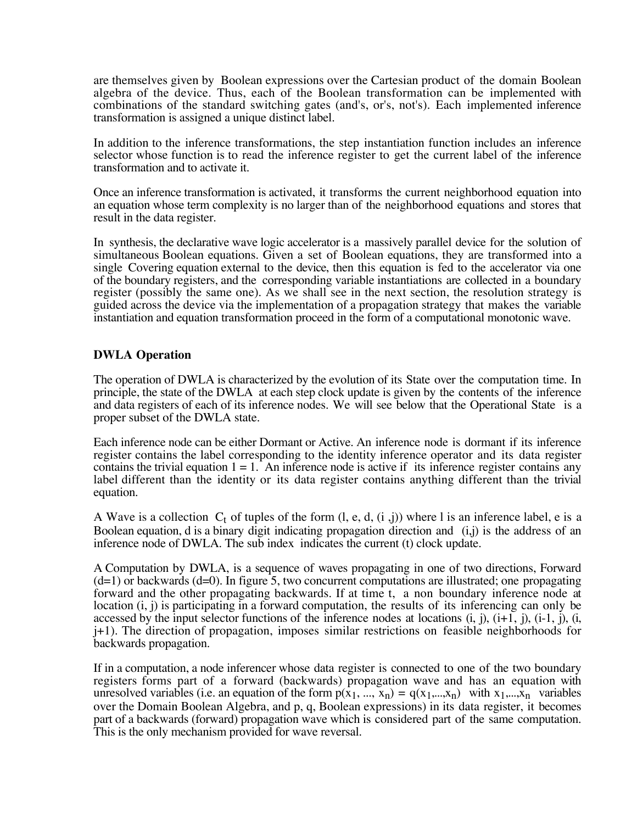are themselves given by Boolean expressions over the Cartesian product of the domain Boolean algebra of the device. Thus, each of the Boolean transformation can be implemented with combinations of the standard switching gates (and's, or's, not's). Each implemented inference transformation is assigned a unique distinct label.

In addition to the inference transformations, the step instantiation function includes an inference selector whose function is to read the inference register to get the current label of the inference transformation and to activate it.

Once an inference transformation is activated, it transforms the current neighborhood equation into an equation whose term complexity is no larger than of the neighborhood equations and stores that result in the data register.

In synthesis, the declarative wave logic accelerator is a massively parallel device for the solution of simultaneous Boolean equations. Given a set of Boolean equations, they are transformed into a single Covering equation external to the device, then this equation is fed to the accelerator via one of the boundary registers, and the corresponding variable instantiations are collected in a boundary register (possibly the same one). As we shall see in the next section, the resolution strategy is guided across the device via the implementation of a propagation strategy that makes the variable instantiation and equation transformation proceed in the form of a computational monotonic wave.

## **DWLA Operation**

The operation of DWLA is characterized by the evolution of its State over the computation time. In principle, the state of the DWLA at each step clock update is given by the contents of the inference and data registers of each of its inference nodes. We will see below that the Operational State is a proper subset of the DWLA state.

Each inference node can be either Dormant or Active. An inference node is dormant if its inference register contains the label corresponding to the identity inference operator and its data register contains the trivial equation  $1 = 1$ . An inference node is active if its inference register contains any label different than the identity or its data register contains anything different than the trivial equation.

A Wave is a collection  $C_t$  of tuples of the form  $(l, e, d, (i, j))$  where l is an inference label, e is a Boolean equation, d is a binary digit indicating propagation direction and (i,j) is the address of an inference node of DWLA. The sub index indicates the current (t) clock update.

A Computation by DWLA, is a sequence of waves propagating in one of two directions, Forward  $(d=1)$  or backwards  $(d=0)$ . In figure 5, two concurrent computations are illustrated; one propagating forward and the other propagating backwards. If at time t, a non boundary inference node at location (i, j) is participating in a forward computation, the results of its inferencing can only be accessed by the input selector functions of the inference nodes at locations  $(i, j)$ ,  $(i+1, j)$ ,  $(i-1, j)$ ,  $(i, j)$ j+1). The direction of propagation, imposes similar restrictions on feasible neighborhoods for backwards propagation.

If in a computation, a node inferencer whose data register is connected to one of the two boundary registers forms part of a forward (backwards) propagation wave and has an equation with unresolved variables (i.e. an equation of the form  $p(x_1, ..., x_n) = q(x_1,...,x_n)$  with  $x_1,...,x_n$  variables over the Domain Boolean Algebra, and p, q, Boolean expressions) in its data register, it becomes part of a backwards (forward) propagation wave which is considered part of the same computation. This is the only mechanism provided for wave reversal.